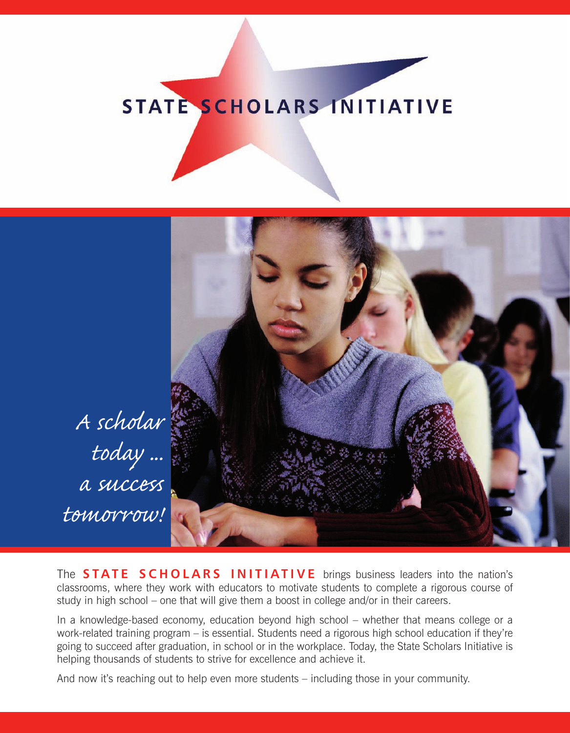# STATE SCHOLARS INITIATIVE



*A scholar today ... a success tomorrow!*

The **STATE SCHOLARS INITIATIVE** brings business leaders into the nation's classrooms, where they work with educators to motivate students to complete a rigorous course of study in high school – one that will give them a boost in college and/or in their careers.

In a knowledge-based economy, education beyond high school – whether that means college or a work-related training program – is essential. Students need a rigorous high school education if they're going to succeed after graduation, in school or in the workplace. Today, the State Scholars Initiative is helping thousands of students to strive for excellence and achieve it.

And now it's reaching out to help even more students – including those in your community.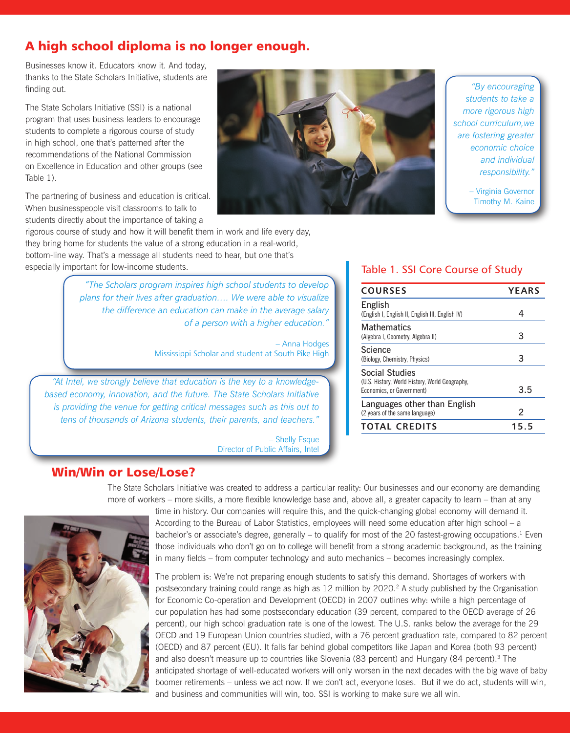# A high school diploma is no longer enough.

Businesses know it. Educators know it. And today, thanks to the State Scholars Initiative, students are finding out.

The State Scholars Initiative (SSI) is a national program that uses business leaders to encourage students to complete a rigorous course of study in high school, one that's patterned after the recommendations of the National Commission on Excellence in Education and other groups (see Table 1).

The partnering of business and education is critical. When businesspeople visit classrooms to talk to students directly about the importance of taking a

rigorous course of study and how it will benefit them in work and life every day, they bring home for students the value of a strong education in a real-world, bottom-line way. That's a message all students need to hear, but one that's especially important for low-income students.

> *"The Scholars program inspires high school students to develop plans for their lives after graduation…. We were able to visualize the difference an education can make in the average salary of a person with a higher education."*

> > – Anna Hodges Mississippi Scholar and student at South Pike High

*"At Intel, we strongly believe that education is the key to a knowledgebased economy, innovation, and the future. The State Scholars Initiative is providing the venue for getting critical messages such as this out to tens of thousands of Arizona students, their parents, and teachers."*

> – Shelly Esque Director of Public Affairs, Intel

## Table 1. SSI Core Course of Study

| <b>COURSES</b>                                                                                | <b>YEARS</b> |
|-----------------------------------------------------------------------------------------------|--------------|
| <b>English</b><br>(English I, English II, English III, English IV)                            |              |
| <b>Mathematics</b><br>(Algebra I, Geometry, Algebra II)                                       | 3            |
| Science<br>(Biology, Chemistry, Physics)                                                      | З            |
| Social Studies<br>(U.S. History, World History, World Geography,<br>Economics, or Government) | 3.5          |
| Languages other than English<br>(2 years of the same language)                                | 2            |
| <b>TOTAL CREDITS</b>                                                                          | 15.5         |

#### Win/Win or Lose/Lose?

The State Scholars Initiative was created to address a particular reality: Our businesses and our economy are demanding more of workers – more skills, a more flexible knowledge base and, above all, a greater capacity to learn – than at any



time in history. Our companies will require this, and the quick-changing global economy will demand it. According to the Bureau of Labor Statistics, employees will need some education after high school – a bachelor's or associate's degree, generally – to qualify for most of the 20 fastest-growing occupations.<sup>1</sup> Even those individuals who don't go on to college will benefit from a strong academic background, as the training in many fields – from computer technology and auto mechanics – becomes increasingly complex.

The problem is: We're not preparing enough students to satisfy this demand. Shortages of workers with postsecondary training could range as high as 12 million by 2020.<sup>2</sup> A study published by the Organisation for Economic Co-operation and Development (OECD) in 2007 outlines why: while a high percentage of our population has had some postsecondary education (39 percent, compared to the OECD average of 26 percent), our high school graduation rate is one of the lowest. The U.S. ranks below the average for the 29 OECD and 19 European Union countries studied, with a 76 percent graduation rate, compared to 82 percent (OECD) and 87 percent (EU). It falls far behind global competitors like Japan and Korea (both 93 percent) and also doesn't measure up to countries like Slovenia (83 percent) and Hungary (84 percent).<sup>3</sup> The anticipated shortage of well-educated workers will only worsen in the next decades with the big wave of baby boomer retirements – unless we act now. If we don't act, everyone loses. But if we do act, students will win, and business and communities will win, too. SSI is working to make sure we all win.



*"By encouraging students to take a more rigorous high school curriculum,we are fostering greater economic choice and individual responsibility."*

> – Virginia Governor Timothy M. Kaine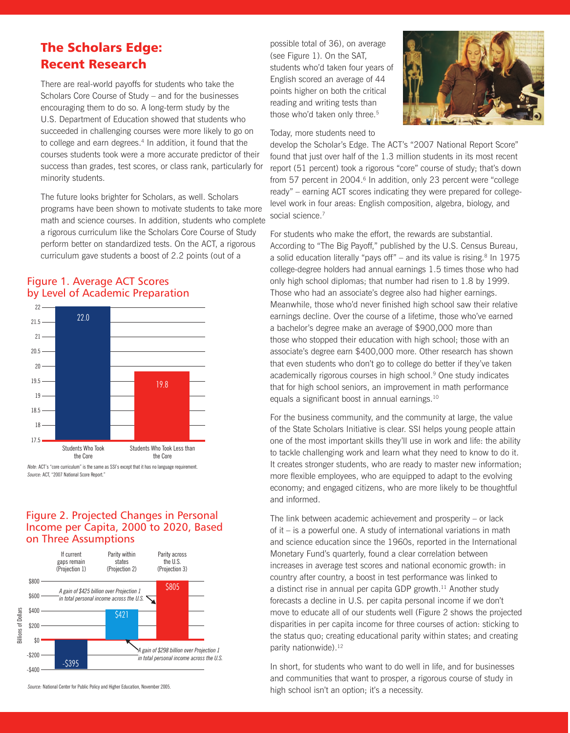# The Scholars Edge: Recent Research

There are real-world payoffs for students who take the Scholars Core Course of Study – and for the businesses encouraging them to do so. A long-term study by the U.S. Department of Education showed that students who succeeded in challenging courses were more likely to go on to college and earn degrees.<sup>4</sup> In addition, it found that the courses students took were a more accurate predictor of their success than grades, test scores, or class rank, particularly for minority students.

The future looks brighter for Scholars, as well. Scholars programs have been shown to motivate students to take more math and science courses. In addition, students who complete a rigorous curriculum like the Scholars Core Course of Study perform better on standardized tests. On the ACT, a rigorous curriculum gave students a boost of 2.2 points (out of a



#### Figure 1. Average ACT Scores by Level of Academic Preparation

*Source:* ACT, "2007 National Score Report." *Note*: ACT's "core curriculum" is the same as SSI's except that it has no language requirement.

#### Figure 2. Projected Changes in Personal Income per Capita, 2000 to 2020, Based on Three Assumptions



*Source:* National Center for Public Policy and Higher Education, November 2005.

possible total of 36), on average (see Figure 1). On the SAT, students who'd taken four years of English scored an average of 44 points higher on both the critical reading and writing tests than those who'd taken only three.<sup>5</sup>

Today, more students need to



develop the Scholar's Edge. The ACT's "2007 National Report Score" found that just over half of the 1.3 million students in its most recent report (51 percent) took a rigorous "core" course of study; that's down from 57 percent in 2004.<sup>6</sup> In addition, only 23 percent were "college ready" – earning ACT scores indicating they were prepared for collegelevel work in four areas: English composition, algebra, biology, and social science.<sup>7</sup>

For students who make the effort, the rewards are substantial. According to "The Big Payoff," published by the U.S. Census Bureau, a solid education literally "pays off" – and its value is rising. $8 \ln 1975$ college-degree holders had annual earnings 1.5 times those who had only high school diplomas; that number had risen to 1.8 by 1999. Those who had an associate's degree also had higher earnings. Meanwhile, those who'd never finished high school saw their relative earnings decline. Over the course of a lifetime, those who've earned a bachelor's degree make an average of \$900,000 more than those who stopped their education with high school; those with an associate's degree earn \$400,000 more. Other research has shown that even students who don't go to college do better if they've taken academically rigorous courses in high school.9 One study indicates that for high school seniors, an improvement in math performance equals a significant boost in annual earnings.10

For the business community, and the community at large, the value of the State Scholars Initiative is clear. SSI helps young people attain one of the most important skills they'll use in work and life: the ability to tackle challenging work and learn what they need to know to do it. It creates stronger students, who are ready to master new information; more flexible employees, who are equipped to adapt to the evolving economy; and engaged citizens, who are more likely to be thoughtful and informed.

The link between academic achievement and prosperity – or lack of it – is a powerful one. A study of international variations in math and science education since the 1960s, reported in the International Monetary Fund's quarterly, found a clear correlation between increases in average test scores and national economic growth: in country after country, a boost in test performance was linked to a distinct rise in annual per capita GDP growth.<sup>11</sup> Another study forecasts a decline in U.S. per capita personal income if we don't move to educate all of our students well (Figure 2 shows the projected disparities in per capita income for three courses of action: sticking to the status quo; creating educational parity within states; and creating parity nationwide).<sup>12</sup>

In short, for students who want to do well in life, and for businesses and communities that want to prosper, a rigorous course of study in high school isn't an option; it's a necessity.